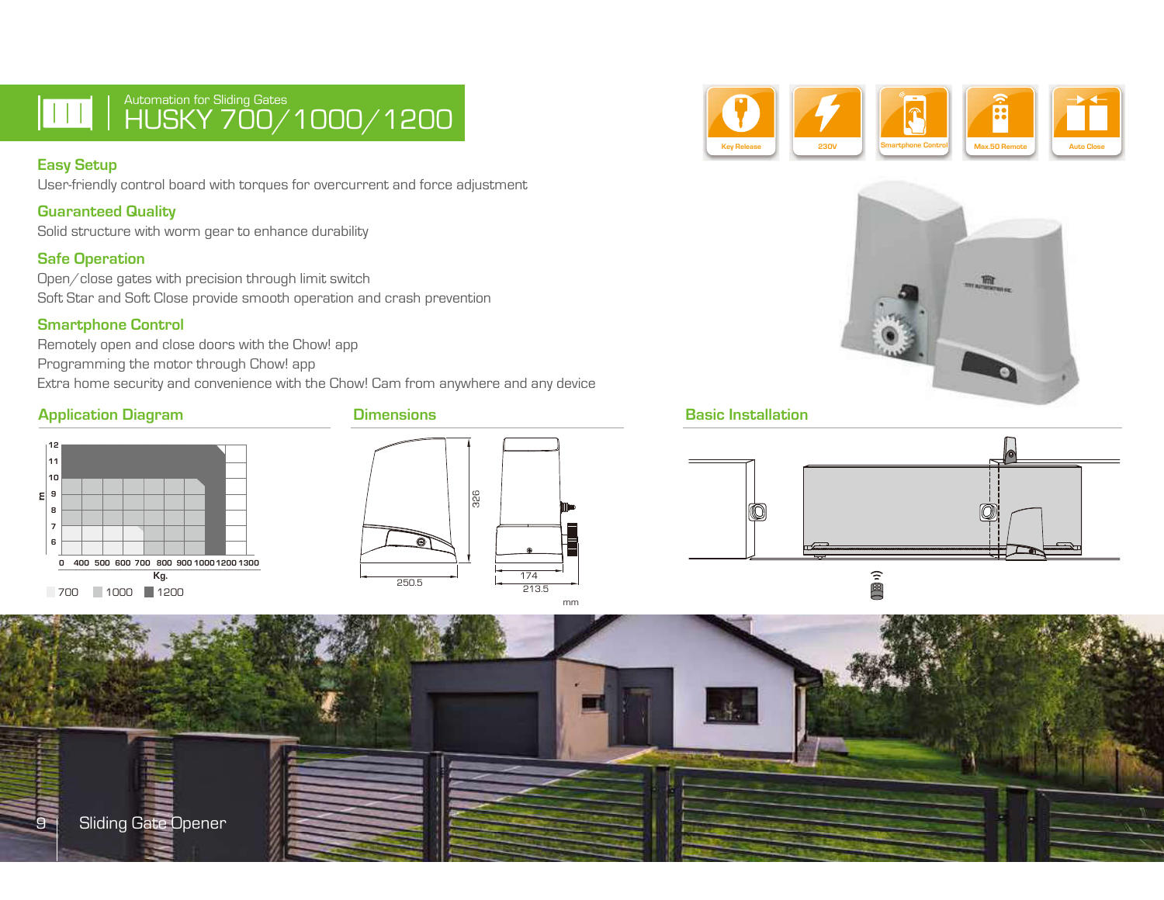

#### Easy Setup

User-friendly control board with torques for overcurrent and force adjustment

### Guaranteed Quality

Solid structure with worm gear to enhance durability

#### Safe Operation

Open/close gates with precision through limit switch Soft Star and Soft Close provide smooth operation and crash prevention

#### Smartphone Control

Remotely open and close doors with the Chow! app Programming the motor through Chow! app Extra home security and convenience with the Chow! Cam from anywhere and any device

#### Application Diagram **Dimensions**









## Basic Installation